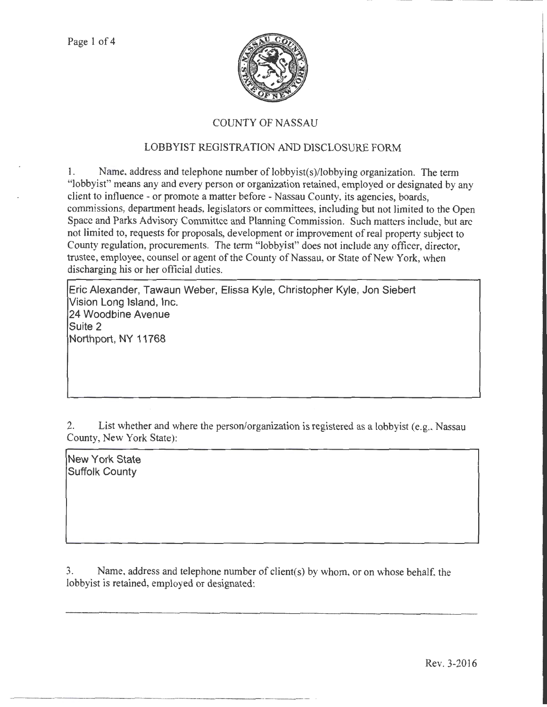

## COUNTY OF NASSAU

## LOBBYIST REGISTRATION AND DISCLOSURE FORM

1. Name, address and telephone number of lobbyist(s)/lobbying organization. The term "lobbyist" means any and every person or organization retained, employed or designated by any client to influence- or promote a matter before- Nassau County, its agencies, boards, commissions, department heads, legislators or committees, including but not limited to the Open Space and Parks Advisory Committee and Planning Commission. Such matters include, but are not limited to, requests for proposals, development or improvement of real property subject to County regulation, procurements. The term "lobbyist" does not include any officer, director, trustee, employee, counsel or agent of the County of Nassau, or State of New York, when discharging his or her official duties.

Eric Alexander, Tawaun Weber, Elissa Kyle, Christopher Kyle, Jon Siebert Vision Long Island, Inc. 24 Woodbine Avenue Suite 2 Northport, NY 11768

2. List whether and where the person/organization is registered as a lobbyist (e.g., Nassau County, New York State):

New York State Suffolk County

3. Name, address and telephone number of client(s) by whom, or on whose behalf, the lobbyist is retained, employed or designated: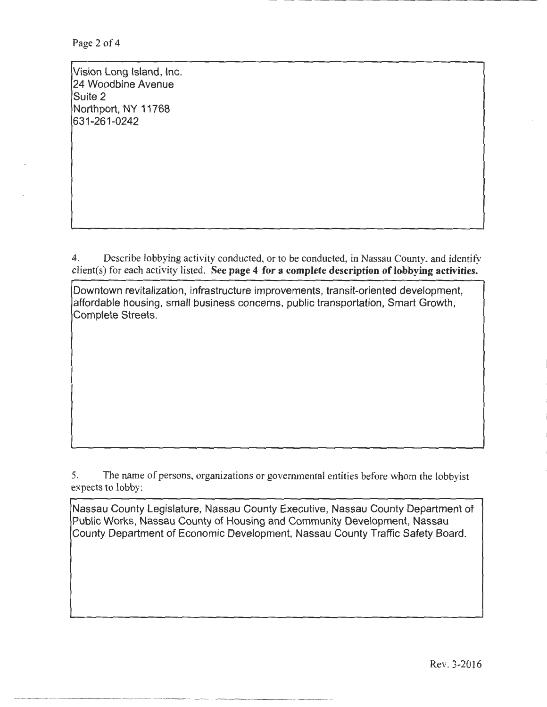Page 2 of 4

Vision Long Island, Inc. 24 Woodbine Avenue Suite 2 Northport, NY 11768 631-261-0242

4. Describe lobbying activity conducted, or to be conducted, in Nassau County, and identify  $client(s)$  for each activity listed. See page 4 for a complete description of lobbying activities.

Downtown revitalization, infrastructure improvements, transit-oriented development, affordable housing, small business concerns, public transportation, Smart Growth, Complete Streets.

5. The name of persons, organizations or governmental entities before whom the lobbyist expects to lobby:

Nassau County Legislature, Nassau County Executive, Nassau County Department of Public Works, Nassau County of Housing and Community Development, Nassau County Department of Economic Development, Nassau County Traffic Safety Board.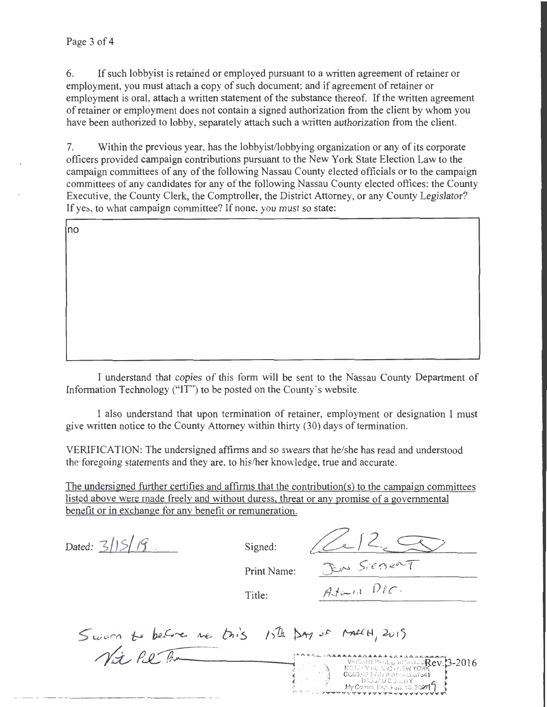6. If such lobbyist is retained or employed pursuant to a written agreement of retainer or employment, you must attach a copy of such document; and if agreement of retainer or employment is oral, attach a written statement of the substance thereof. If the written agreement of retainer or employment does not contain a signed authorization from the client by whom you have been authorized to lobby, separately attach such a written authorization from the client.

7. Within the previous year, has the lobbyist/lobbying organization or any of its corporate officers provided campaign contributions pursuant to the New York State Election Law to the campaign committees of any of the following Nassau County elected officials or to the campaign committees of any candidates for any of the following Nassau County elected offices: the County Executive, the County Clerk, the Comptroller, the District Attorney, or any County Legislator? If yes, to what campaign committee? If none, you must so state:

lno

I understand that copies of this form will be sent to the Nassau County Department of Information Technology ("IT") to be posted on the County's website.

I also understand that upon termination of retainer, employment or designation I must give written notice to the County Attorney within thirty (30) days of termination.

VERIFICATION: The undersigned affirms and so swears that he/she has read and understood the foregoing statements and they are, to his/her knowledge, true and accurate.

The undersigned further certifies and affirms that the contribution(s) to the campaign committees listed above were made freely and without duress, threat or any promise of a governmental benefit or in exchange for any benefit or remuneration.

|  | Dated: $3/15/79$ | Signed: |
|--|------------------|---------|
|--|------------------|---------|

 $(212)$ 

Print Name:

Title:

Sworn to before we this  $\gamma$ ison to before we lives 15th pay of EXAMPLE MODERN FUNDO PER PORT AND MODERN PROGRAM AND RESEARCH AND RESEARCH AND MANUSCRIPT OF A MANUSCRIPT OF A<br>A MANUSCRIPT OF A MANUSCRIPT OF A MANUSCRIPT OF A MANUSCRIPT OF A MANUSCRIPT OF A MANUSCRIPT OF A MANUSCRIPT O<br>